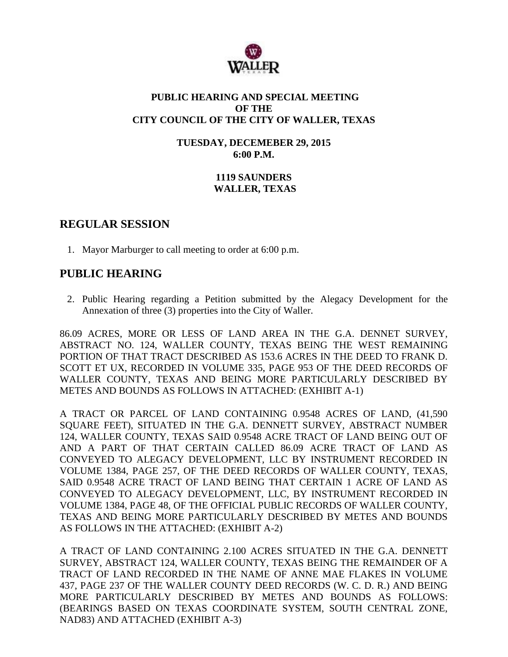

### **PUBLIC HEARING AND SPECIAL MEETING OF THE CITY COUNCIL OF THE CITY OF WALLER, TEXAS**

**TUESDAY, DECEMEBER 29, 2015 6:00 P.M.**

## **1119 SAUNDERS WALLER, TEXAS**

## **REGULAR SESSION**

1. Mayor Marburger to call meeting to order at 6:00 p.m.

# **PUBLIC HEARING**

2. Public Hearing regarding a Petition submitted by the Alegacy Development for the Annexation of three (3) properties into the City of Waller.

86.09 ACRES, MORE OR LESS OF LAND AREA IN THE G.A. DENNET SURVEY, ABSTRACT NO. 124, WALLER COUNTY, TEXAS BEING THE WEST REMAINING PORTION OF THAT TRACT DESCRIBED AS 153.6 ACRES IN THE DEED TO FRANK D. SCOTT ET UX, RECORDED IN VOLUME 335, PAGE 953 OF THE DEED RECORDS OF WALLER COUNTY, TEXAS AND BEING MORE PARTICULARLY DESCRIBED BY METES AND BOUNDS AS FOLLOWS IN ATTACHED: (EXHIBIT A-1)

A TRACT OR PARCEL OF LAND CONTAINING 0.9548 ACRES OF LAND, (41,590 SQUARE FEET), SITUATED IN THE G.A. DENNETT SURVEY, ABSTRACT NUMBER 124, WALLER COUNTY, TEXAS SAID 0.9548 ACRE TRACT OF LAND BEING OUT OF AND A PART OF THAT CERTAIN CALLED 86.09 ACRE TRACT OF LAND AS CONVEYED TO ALEGACY DEVELOPMENT, LLC BY INSTRUMENT RECORDED IN VOLUME 1384, PAGE 257, OF THE DEED RECORDS OF WALLER COUNTY, TEXAS, SAID 0.9548 ACRE TRACT OF LAND BEING THAT CERTAIN 1 ACRE OF LAND AS CONVEYED TO ALEGACY DEVELOPMENT, LLC, BY INSTRUMENT RECORDED IN VOLUME 1384, PAGE 48, OF THE OFFICIAL PUBLIC RECORDS OF WALLER COUNTY, TEXAS AND BEING MORE PARTICULARLY DESCRIBED BY METES AND BOUNDS AS FOLLOWS IN THE ATTACHED: (EXHIBIT A-2)

A TRACT OF LAND CONTAINING 2.100 ACRES SITUATED IN THE G.A. DENNETT SURVEY, ABSTRACT 124, WALLER COUNTY, TEXAS BEING THE REMAINDER OF A TRACT OF LAND RECORDED IN THE NAME OF ANNE MAE FLAKES IN VOLUME 437, PAGE 237 OF THE WALLER COUNTY DEED RECORDS (W. C. D. R.) AND BEING MORE PARTICULARLY DESCRIBED BY METES AND BOUNDS AS FOLLOWS: (BEARINGS BASED ON TEXAS COORDINATE SYSTEM, SOUTH CENTRAL ZONE, NAD83) AND ATTACHED (EXHIBIT A-3)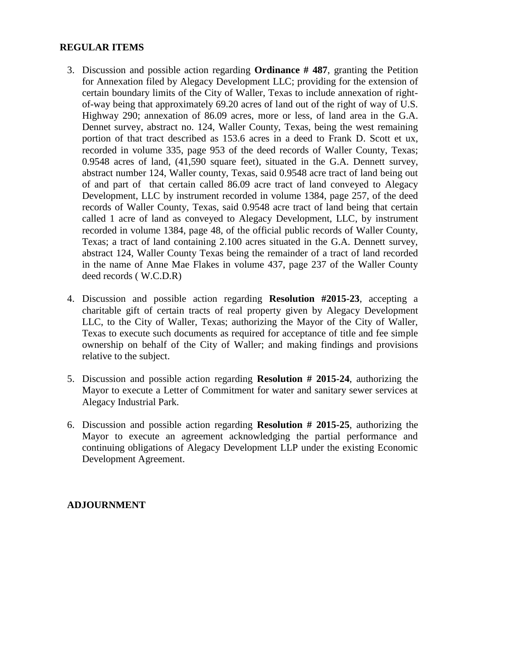#### **REGULAR ITEMS**

- 3. Discussion and possible action regarding **Ordinance # 487**, granting the Petition for Annexation filed by Alegacy Development LLC; providing for the extension of certain boundary limits of the City of Waller, Texas to include annexation of rightof-way being that approximately 69.20 acres of land out of the right of way of U.S. Highway 290; annexation of 86.09 acres, more or less, of land area in the G.A. Dennet survey, abstract no. 124, Waller County, Texas, being the west remaining portion of that tract described as 153.6 acres in a deed to Frank D. Scott et ux, recorded in volume 335, page 953 of the deed records of Waller County, Texas; 0.9548 acres of land, (41,590 square feet), situated in the G.A. Dennett survey, abstract number 124, Waller county, Texas, said 0.9548 acre tract of land being out of and part of that certain called 86.09 acre tract of land conveyed to Alegacy Development, LLC by instrument recorded in volume 1384, page 257, of the deed records of Waller County, Texas, said 0.9548 acre tract of land being that certain called 1 acre of land as conveyed to Alegacy Development, LLC, by instrument recorded in volume 1384, page 48, of the official public records of Waller County, Texas; a tract of land containing 2.100 acres situated in the G.A. Dennett survey, abstract 124, Waller County Texas being the remainder of a tract of land recorded in the name of Anne Mae Flakes in volume 437, page 237 of the Waller County deed records ( W.C.D.R)
- 4. Discussion and possible action regarding **Resolution #2015-23**, accepting a charitable gift of certain tracts of real property given by Alegacy Development LLC, to the City of Waller, Texas; authorizing the Mayor of the City of Waller, Texas to execute such documents as required for acceptance of title and fee simple ownership on behalf of the City of Waller; and making findings and provisions relative to the subject.
- 5. Discussion and possible action regarding **Resolution # 2015-24**, authorizing the Mayor to execute a Letter of Commitment for water and sanitary sewer services at Alegacy Industrial Park.
- 6. Discussion and possible action regarding **Resolution # 2015-25**, authorizing the Mayor to execute an agreement acknowledging the partial performance and continuing obligations of Alegacy Development LLP under the existing Economic Development Agreement.

#### **ADJOURNMENT**